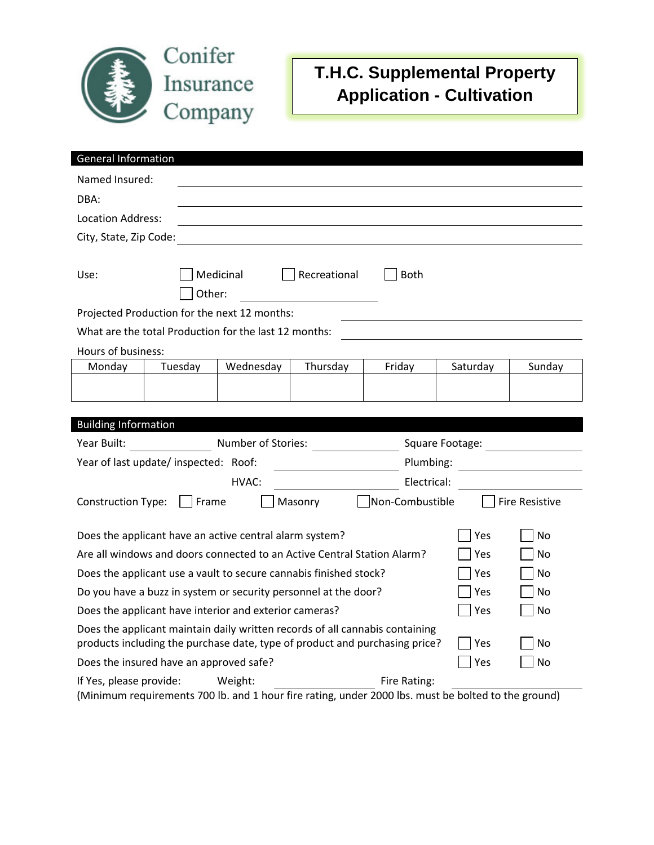

## **T.H.C. Supplemental Property Application - Cultivation**

| <b>General Information</b>                                                                |           |          |        |          |                                              |  |  |  |  |
|-------------------------------------------------------------------------------------------|-----------|----------|--------|----------|----------------------------------------------|--|--|--|--|
| Named Insured:                                                                            |           |          |        |          |                                              |  |  |  |  |
| DBA:                                                                                      |           |          |        |          |                                              |  |  |  |  |
| Location Address:                                                                         |           |          |        |          |                                              |  |  |  |  |
| City, State, Zip Code:                                                                    |           |          |        |          |                                              |  |  |  |  |
|                                                                                           |           |          |        |          |                                              |  |  |  |  |
| Medicinal<br>Recreational<br>Use:<br><b>Both</b>                                          |           |          |        |          |                                              |  |  |  |  |
| Other:                                                                                    |           |          |        |          |                                              |  |  |  |  |
| Projected Production for the next 12 months:                                              |           |          |        |          |                                              |  |  |  |  |
| What are the total Production for the last 12 months:                                     |           |          |        |          |                                              |  |  |  |  |
| Hours of business:                                                                        |           |          |        |          |                                              |  |  |  |  |
| Monday<br>Tuesday                                                                         | Wednesday | Thursday | Friday | Saturday | Sunday                                       |  |  |  |  |
|                                                                                           |           |          |        |          |                                              |  |  |  |  |
|                                                                                           |           |          |        |          |                                              |  |  |  |  |
| <b>Building Information</b>                                                               |           |          |        |          |                                              |  |  |  |  |
| Number of Stories:<br>Year Built:<br>Square Footage:                                      |           |          |        |          |                                              |  |  |  |  |
| Year of last update/inspected: Roof:<br>Plumbing:                                         |           |          |        |          | <u> 1989 - Jan Samuel Barbara, politik e</u> |  |  |  |  |
| HVAC:<br>Electrical:                                                                      |           |          |        |          |                                              |  |  |  |  |
| Non-Combustible<br>Frame<br><b>Construction Type:</b><br>Masonry<br><b>Fire Resistive</b> |           |          |        |          |                                              |  |  |  |  |
|                                                                                           |           |          |        |          |                                              |  |  |  |  |
| Does the applicant have an active central alarm system?                                   |           |          |        |          | No                                           |  |  |  |  |
| Are all windows and doors connected to an Active Central Station Alarm?                   |           |          |        |          | No                                           |  |  |  |  |
| Does the applicant use a vault to secure cannabis finished stock?                         |           |          |        |          | No                                           |  |  |  |  |
| Do you have a buzz in system or security personnel at the door?                           |           |          |        |          | No                                           |  |  |  |  |
| Does the applicant have interior and exterior cameras?                                    |           |          |        |          | No                                           |  |  |  |  |
| Does the applicant maintain daily written records of all cannabis containing              |           |          |        |          |                                              |  |  |  |  |
| products including the purchase date, type of product and purchasing price?               |           |          |        |          | No                                           |  |  |  |  |
| Does the insured have an approved safe?                                                   |           |          |        |          | No                                           |  |  |  |  |
| If Yes, please provide:<br>Fire Rating:<br>Weight:                                        |           |          |        |          |                                              |  |  |  |  |

(Minimum requirements 700 lb. and 1 hour fire rating, under 2000 lbs. must be bolted to the ground)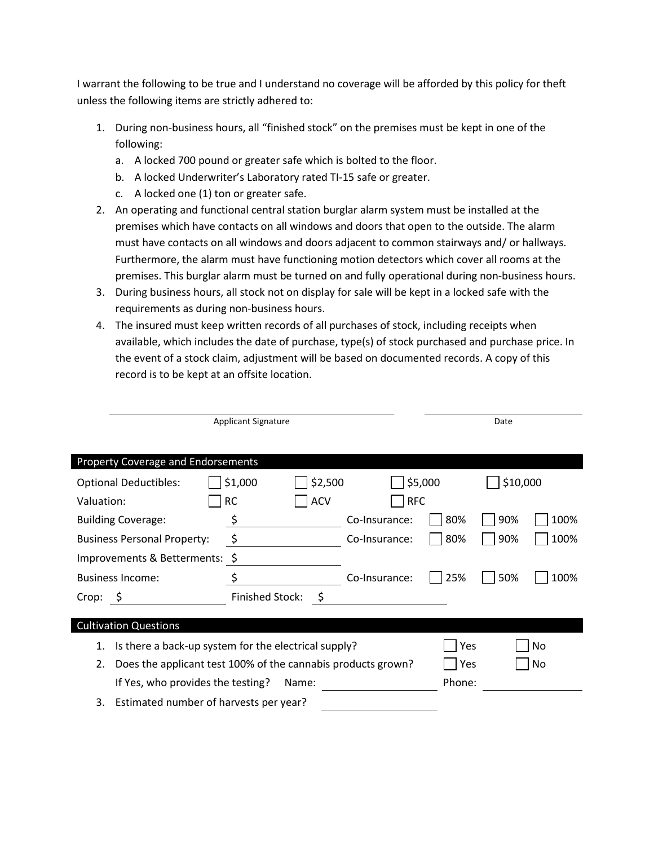I warrant the following to be true and I understand no coverage will be afforded by this policy for theft unless the following items are strictly adhered to:

- 1. During non-business hours, all "finished stock" on the premises must be kept in one of the following:
	- a. A locked 700 pound or greater safe which is bolted to the floor.
	- b. A locked Underwriter's Laboratory rated TI-15 safe or greater.
	- c. A locked one (1) ton or greater safe.
- 2. An operating and functional central station burglar alarm system must be installed at the premises which have contacts on all windows and doors that open to the outside. The alarm must have contacts on all windows and doors adjacent to common stairways and/ or hallways. Furthermore, the alarm must have functioning motion detectors which cover all rooms at the premises. This burglar alarm must be turned on and fully operational during non-business hours.
- 3. During business hours, all stock not on display for sale will be kept in a locked safe with the requirements as during non-business hours.
- 4. The insured must keep written records of all purchases of stock, including receipts when available, which includes the date of purchase, type(s) of stock purchased and purchase price. In the event of a stock claim, adjustment will be based on documented records. A copy of this record is to be kept at an offsite location.

| <b>Applicant Signature</b>                   |                                                              |               |     | Date     |           |  |  |  |  |
|----------------------------------------------|--------------------------------------------------------------|---------------|-----|----------|-----------|--|--|--|--|
|                                              |                                                              |               |     |          |           |  |  |  |  |
| Property Coverage and Endorsements           |                                                              |               |     |          |           |  |  |  |  |
| <b>Optional Deductibles:</b>                 | \$1,000<br>\$2,500                                           | \$5,000       |     | \$10,000 |           |  |  |  |  |
| Valuation:                                   | <b>ACV</b><br><b>RC</b>                                      | <b>RFC</b>    |     |          |           |  |  |  |  |
| <b>Building Coverage:</b>                    | \$                                                           | Co-Insurance: | 80% | 90%      | 100%      |  |  |  |  |
| <b>Business Personal Property:</b>           | \$                                                           | Co-Insurance: | 80% | 90%      | 100%      |  |  |  |  |
| Improvements & Betterments: \$               |                                                              |               |     |          |           |  |  |  |  |
| <b>Business Income:</b>                      | \$                                                           | Co-Insurance: | 25% | 50%      | 100%      |  |  |  |  |
| $Crop: \S$                                   | <b>Finished Stock:</b><br>- \$                               |               |     |          |           |  |  |  |  |
|                                              |                                                              |               |     |          |           |  |  |  |  |
| <b>Cultivation Questions</b>                 |                                                              |               |     |          |           |  |  |  |  |
| 1.                                           | Is there a back-up system for the electrical supply?         |               |     |          | Yes<br>No |  |  |  |  |
| 2.                                           | Does the applicant test 100% of the cannabis products grown? |               |     |          | No        |  |  |  |  |
| If Yes, who provides the testing?            | Phone:                                                       |               |     |          |           |  |  |  |  |
| Estimated number of harvests per year?<br>3. |                                                              |               |     |          |           |  |  |  |  |